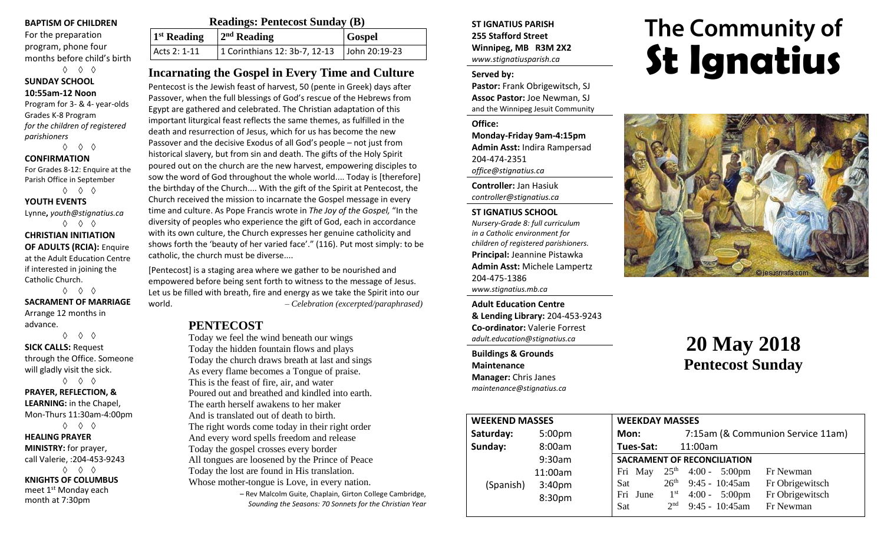#### **BAPTISM OF CHILDREN**

For the preparation program, phone four months before child's birth

◊ ◊ ◊ **SUNDAY SCHOOL 10:55am-12 Noon**

Program for 3- & 4- year-olds Grades K-8 Program *for the children of registered parishioners*

◊ ◊ ◊

#### **CONFIRMATION**

For Grades 8-12: Enquire at the Parish Office in September ◊ ◊ ◊

**YOUTH EVENTS**

Lynne**,** *youth@stignatius.ca* ◊ ◊ ◊

#### **CHRISTIAN INITIATION OF ADULTS (RCIA):** Enquire at the Adult Education Centre if interested in joining the Catholic Church. ◊ ◊ ◊

**SACRAMENT OF MARRIAGE** Arrange 12 months in advance.

◊ ◊ ◊

**SICK CALLS:** Request through the Office. Someone will gladly visit the sick. ◊ ◊ ◊

#### **PRAYER, REFLECTION, & LEARNING:** in the Chapel, Mon-Thurs 11:30am-4:00pm

◊ ◊ ◊

**HEALING PRAYER MINISTRY:** for prayer, call Valerie, :204-453-9243 ◊ ◊ ◊ **KNIGHTS OF COLUMBUS** meet 1<sup>st</sup> Monday each month at 7:30pm

| <b>Readings: Pentecost Sunday (B)</b> |                               |               |  |  |
|---------------------------------------|-------------------------------|---------------|--|--|
| 1 <sup>st</sup> Reading               | $2nd$ Reading                 | <b>Gospel</b> |  |  |
| Acts 2: 1-11                          | 1 Corinthians 12: 3b-7, 12-13 | John 20:19-23 |  |  |

## **Incarnating the Gospel in Every Time and Culture**

Pentecost is the Jewish feast of harvest, 50 (pente in Greek) days after Passover, when the full blessings of God's rescue of the Hebrews from Egypt are gathered and celebrated. The Christian adaptation of this important liturgical feast reflects the same themes, as fulfilled in the death and resurrection of Jesus, which for us has become the new Passover and the decisive Exodus of all God's people – not just from historical slavery, but from sin and death. The gifts of the Holy Spirit poured out on the church are the new harvest, empowering disciples to sow the word of God throughout the whole world.... Today is [therefore] the birthday of the Church.... With the gift of the Spirit at Pentecost, the Church received the mission to incarnate the Gospel message in every time and culture. As Pope Francis wrote in *The Joy of the Gospel,* "In the diversity of peoples who experience the gift of God, each in accordance with its own culture, the Church expresses her genuine catholicity and shows forth the 'beauty of her varied face'." (116). Put most simply: to be catholic, the church must be diverse....

[Pentecost] is a staging area where we gather to be nourished and empowered before being sent forth to witness to the message of Jesus. Let us be filled with breath, fire and energy as we take the Spirit into our world. *– Celebration (excerpted/paraphrased)*

## **PENTECOST**

Today we feel the wind beneath our wings Today the hidden fountain flows and plays Today the church draws breath at last and sings As every flame becomes a Tongue of praise. This is the feast of fire, air, and water Poured out and breathed and kindled into earth. The earth herself awakens to her maker And is translated out of death to birth. The right words come today in their right order And every word spells freedom and release Today the gospel crosses every border All tongues are loosened by the Prince of Peace Today the lost are found in His translation. Whose mother-tongue is Love, in every nation.

– Rev Malcolm Guite, Chaplain, Girton College Cambridge, *Sounding the Seasons: 70 Sonnets for the Christian Year*

#### **ST IGNATIUS PARISH 255 Stafford Street Winnipeg, MB R3M 2X2** *www.stignatiusparish.ca*

#### **Served by:**

**Pastor:** Frank Obrigewitsch, SJ **Assoc Pastor:** Joe Newman, SJ and the Winnipeg Jesuit Community

#### **Office: Monday-Friday 9am-4:15pm Admin Asst:** Indira Rampersad 204-474-2351

*office@stignatius.ca*

**Controller:** Jan Hasiuk *controller@stignatius.ca*

# **ST IGNATIUS SCHOOL**

*Nursery-Grade 8: full curriculum in a Catholic environment for children of registered parishioners.* **Principal:** Jeannine Pistawka **Admin Asst:** Michele Lampertz 204-475-1386 *www.stignatius.mb.ca*

**Adult Education Centre & Lending Library:** 204-453-9243 **Co-ordinator:** Valerie Forrest *adult.education@stignatius.ca*

**Buildings & Grounds Maintenance Manager:** Chris Janes *maintenance@stignatius.ca*

# The Community of **St Ignatius**



# **20 May 2018 Pentecost Sunday**

| <b>WEEKEND MASSES</b> |                    | <b>WEEKDAY MASSES</b>                                                  |
|-----------------------|--------------------|------------------------------------------------------------------------|
| Saturday:             | 5:00 <sub>pm</sub> | 7:15am (& Communion Service 11am)<br>Mon:                              |
| Sunday:               | 8:00am             | Tues-Sat:<br>11:00am                                                   |
|                       | 9:30am             | <b>SACRAMENT OF RECONCILIATION</b>                                     |
| (Spanish)             | 11:00am            | $25th$ 4:00 - 5:00pm<br>Fri May<br>Fr Newman                           |
|                       | 3:40 <sub>pm</sub> | $9:45 - 10:45$ am<br>$26^{\text{th}}$<br>Fr Obrigewitsch<br><b>Sat</b> |
|                       | 8:30pm             | Fr Obrigewitsch<br>Fri June<br>$4:00 - 5:00 \text{pm}$<br>$1^{\rm st}$ |
|                       |                    | $9:45 - 10:45$ am<br>2 <sub>nd</sub><br>Fr Newman<br>Sat               |